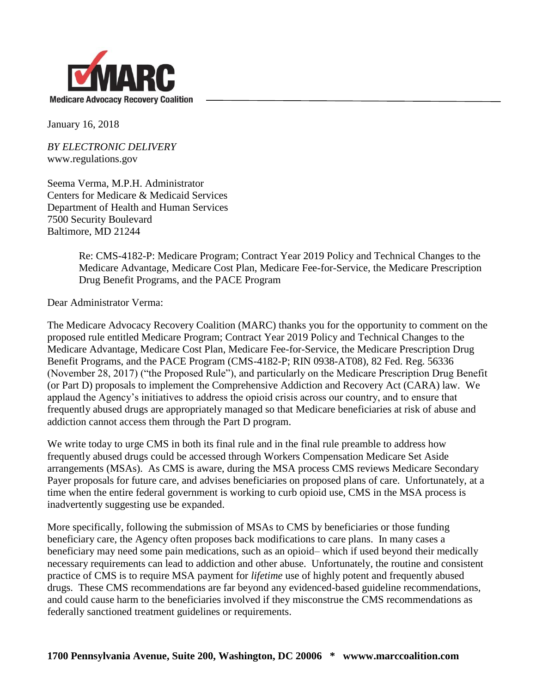

January 16, 2018

*BY ELECTRONIC DELIVERY* www.regulations.gov

Seema Verma, M.P.H. Administrator Centers for Medicare & Medicaid Services Department of Health and Human Services 7500 Security Boulevard Baltimore, MD 21244

> Re: CMS-4182-P: Medicare Program; Contract Year 2019 Policy and Technical Changes to the Medicare Advantage, Medicare Cost Plan, Medicare Fee-for-Service, the Medicare Prescription Drug Benefit Programs, and the PACE Program

Dear Administrator Verma:

The Medicare Advocacy Recovery Coalition (MARC) thanks you for the opportunity to comment on the proposed rule entitled Medicare Program; Contract Year 2019 Policy and Technical Changes to the Medicare Advantage, Medicare Cost Plan, Medicare Fee-for-Service, the Medicare Prescription Drug Benefit Programs, and the PACE Program (CMS-4182-P; RIN 0938-AT08), 82 Fed. Reg. 56336 (November 28, 2017) ("the Proposed Rule"), and particularly on the Medicare Prescription Drug Benefit (or Part D) proposals to implement the Comprehensive Addiction and Recovery Act (CARA) law. We applaud the Agency's initiatives to address the opioid crisis across our country, and to ensure that frequently abused drugs are appropriately managed so that Medicare beneficiaries at risk of abuse and addiction cannot access them through the Part D program.

We write today to urge CMS in both its final rule and in the final rule preamble to address how frequently abused drugs could be accessed through Workers Compensation Medicare Set Aside arrangements (MSAs). As CMS is aware, during the MSA process CMS reviews Medicare Secondary Payer proposals for future care, and advises beneficiaries on proposed plans of care. Unfortunately, at a time when the entire federal government is working to curb opioid use, CMS in the MSA process is inadvertently suggesting use be expanded.

More specifically, following the submission of MSAs to CMS by beneficiaries or those funding beneficiary care, the Agency often proposes back modifications to care plans. In many cases a beneficiary may need some pain medications, such as an opioid– which if used beyond their medically necessary requirements can lead to addiction and other abuse. Unfortunately, the routine and consistent practice of CMS is to require MSA payment for *lifetime* use of highly potent and frequently abused drugs. These CMS recommendations are far beyond any evidenced-based guideline recommendations, and could cause harm to the beneficiaries involved if they misconstrue the CMS recommendations as federally sanctioned treatment guidelines or requirements.